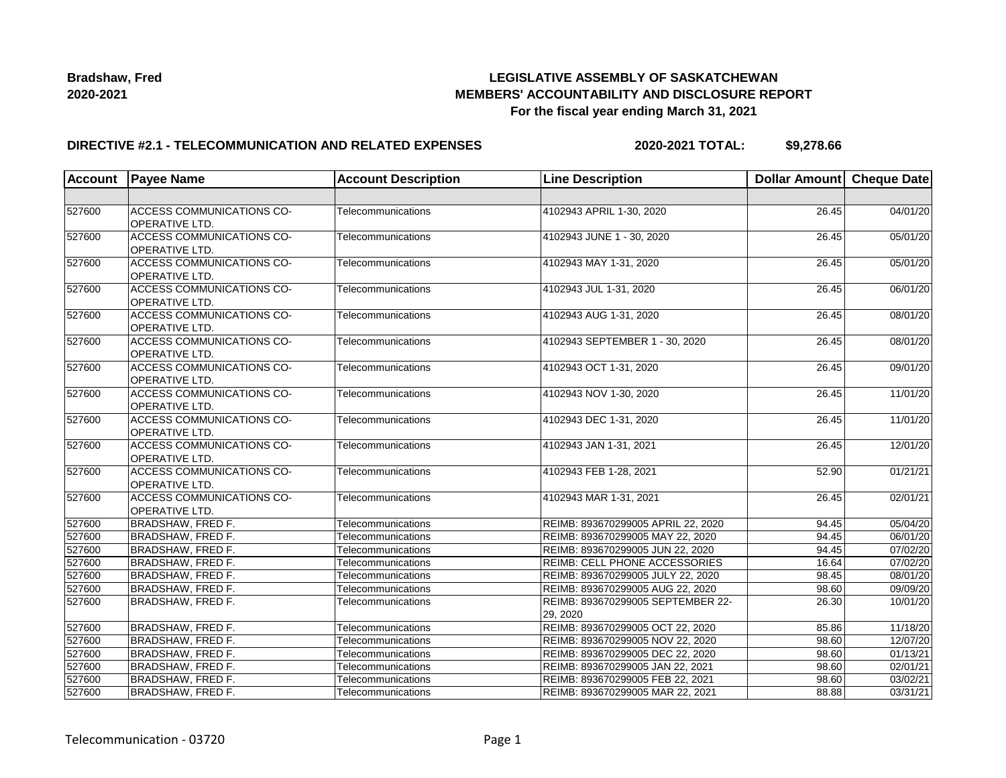

## **LEGISLATIVE ASSEMBLY OF SASKATCHEWAN MEMBERS' ACCOUNTABILITY AND DISCLOSURE REPORT For the fiscal year ending March 31, 2021**

### **DIRECTIVE #2.1 - TELECOMMUNICATION AND RELATED EXPENSES**

**2020-2021 TOTAL: \$9,278.66**

| <b>Account</b> | <b>Payee Name</b>                                         | <b>Account Description</b> | <b>Line Description</b>                       | Dollar Amount Cheque Date |          |
|----------------|-----------------------------------------------------------|----------------------------|-----------------------------------------------|---------------------------|----------|
|                |                                                           |                            |                                               |                           |          |
| 527600         | <b>ACCESS COMMUNICATIONS CO-</b><br><b>OPERATIVE LTD.</b> | Telecommunications         | 4102943 APRIL 1-30, 2020                      | 26.45                     | 04/01/20 |
| 527600         | <b>ACCESS COMMUNICATIONS CO-</b><br>OPERATIVE LTD.        | Telecommunications         | 4102943 JUNE 1 - 30, 2020                     | 26.45                     | 05/01/20 |
| 527600         | ACCESS COMMUNICATIONS CO-<br>OPERATIVE LTD.               | Telecommunications         | 4102943 MAY 1-31, 2020                        | 26.45                     | 05/01/20 |
| 527600         | <b>ACCESS COMMUNICATIONS CO-</b><br>OPERATIVE LTD.        | Telecommunications         | 4102943 JUL 1-31, 2020                        | 26.45                     | 06/01/20 |
| 527600         | <b>ACCESS COMMUNICATIONS CO-</b><br>OPERATIVE LTD.        | Telecommunications         | 4102943 AUG 1-31, 2020                        | 26.45                     | 08/01/20 |
| 527600         | <b>ACCESS COMMUNICATIONS CO-</b><br><b>OPERATIVE LTD.</b> | Telecommunications         | 4102943 SEPTEMBER 1 - 30, 2020                | 26.45                     | 08/01/20 |
| 527600         | <b>ACCESS COMMUNICATIONS CO-</b><br><b>OPERATIVE LTD.</b> | Telecommunications         | 4102943 OCT 1-31, 2020                        | 26.45                     | 09/01/20 |
| 527600         | <b>ACCESS COMMUNICATIONS CO-</b><br><b>OPERATIVE LTD.</b> | Telecommunications         | 4102943 NOV 1-30, 2020                        | 26.45                     | 11/01/20 |
| 527600         | <b>ACCESS COMMUNICATIONS CO-</b><br><b>OPERATIVE LTD.</b> | Telecommunications         | 4102943 DEC 1-31, 2020                        | 26.45                     | 11/01/20 |
| 527600         | <b>ACCESS COMMUNICATIONS CO-</b><br><b>OPERATIVE LTD.</b> | Telecommunications         | 4102943 JAN 1-31, 2021                        | 26.45                     | 12/01/20 |
| 527600         | <b>ACCESS COMMUNICATIONS CO-</b><br><b>OPERATIVE LTD.</b> | Telecommunications         | 4102943 FEB 1-28, 2021                        | 52.90                     | 01/21/21 |
| 527600         | ACCESS COMMUNICATIONS CO-<br>OPERATIVE LTD.               | Telecommunications         | 4102943 MAR 1-31, 2021                        | 26.45                     | 02/01/21 |
| 527600         | <b>BRADSHAW, FRED F.</b>                                  | Telecommunications         | REIMB: 893670299005 APRIL 22, 2020            | 94.45                     | 05/04/20 |
| 527600         | <b>BRADSHAW, FRED F.</b>                                  | Telecommunications         | REIMB: 893670299005 MAY 22, 2020              | 94.45                     | 06/01/20 |
| 527600         | <b>BRADSHAW, FRED F.</b>                                  | Telecommunications         | REIMB: 893670299005 JUN 22, 2020              | 94.45                     | 07/02/20 |
| 527600         | <b>BRADSHAW, FRED F.</b>                                  | Telecommunications         | <b>REIMB: CELL PHONE ACCESSORIES</b>          | 16.64                     | 07/02/20 |
| 527600         | <b>BRADSHAW, FRED F.</b>                                  | Telecommunications         | REIMB: 893670299005 JULY 22, 2020             | 98.45                     | 08/01/20 |
| 527600         | <b>BRADSHAW, FRED F.</b>                                  | Telecommunications         | REIMB: 893670299005 AUG 22, 2020              | 98.60                     | 09/09/20 |
| 527600         | <b>BRADSHAW, FRED F.</b>                                  | Telecommunications         | REIMB: 893670299005 SEPTEMBER 22-<br>29, 2020 | 26.30                     | 10/01/20 |
| 527600         | <b>BRADSHAW, FRED F.</b>                                  | Telecommunications         | REIMB: 893670299005 OCT 22, 2020              | 85.86                     | 11/18/20 |
| 527600         | <b>BRADSHAW, FRED F.</b>                                  | Telecommunications         | REIMB: 893670299005 NOV 22, 2020              | 98.60                     | 12/07/20 |
| 527600         | <b>BRADSHAW, FRED F.</b>                                  | Telecommunications         | REIMB: 893670299005 DEC 22, 2020              | 98.60                     | 01/13/21 |
| 527600         | BRADSHAW, FRED F.                                         | Telecommunications         | REIMB: 893670299005 JAN 22, 2021              | 98.60                     | 02/01/21 |
| 527600         | <b>BRADSHAW, FRED F.</b>                                  | Telecommunications         | REIMB: 893670299005 FEB 22, 2021              | 98.60                     | 03/02/21 |
| 527600         | <b>BRADSHAW, FRED F.</b>                                  | Telecommunications         | REIMB: 893670299005 MAR 22, 2021              | 88.88                     | 03/31/21 |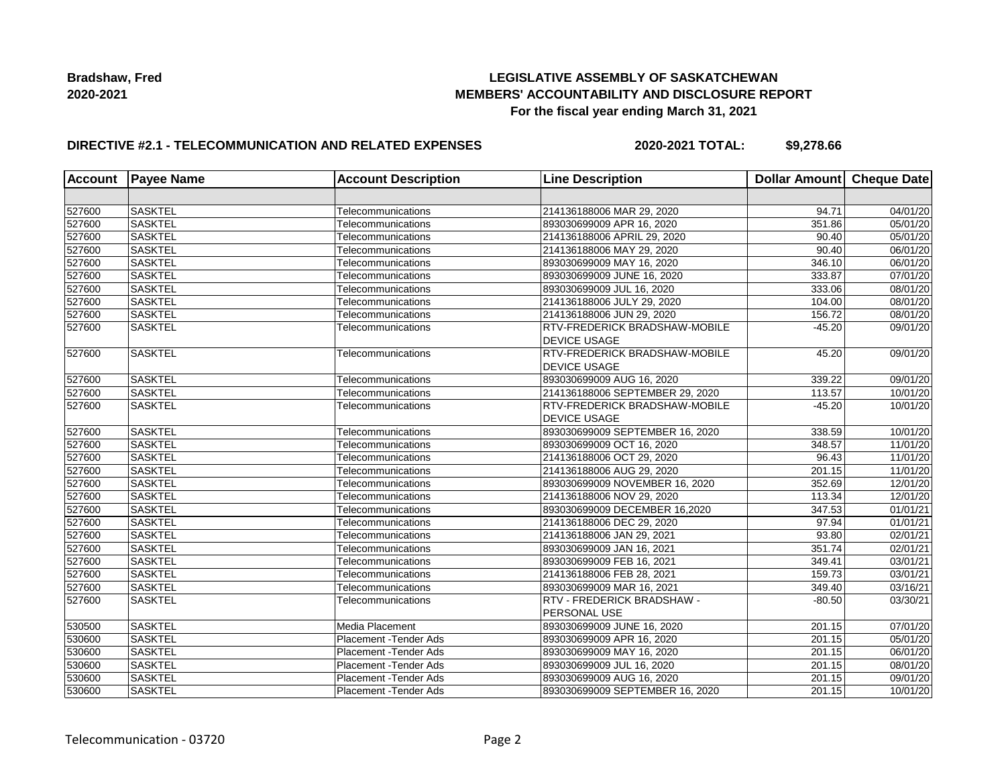## **LEGISLATIVE ASSEMBLY OF SASKATCHEWAN MEMBERS' ACCOUNTABILITY AND DISCLOSURE REPORT For the fiscal year ending March 31, 2021**

## **DIRECTIVE #2.1 - TELECOMMUNICATION AND RELATED EXPENSES**

**2020-2021 TOTAL: \$9,278.66**

| <b>Account</b> | <b>Payee Name</b> | <b>Account Description</b> | <b>Line Description</b>              | Dollar Amount Cheque Date |                       |
|----------------|-------------------|----------------------------|--------------------------------------|---------------------------|-----------------------|
|                |                   |                            |                                      |                           |                       |
| 527600         | SASKTEL           | Telecommunications         | 214136188006 MAR 29, 2020            | 94.71                     | 04/01/20              |
| 527600         | <b>SASKTEL</b>    | Telecommunications         | 893030699009 APR 16, 2020            | 351.86                    | 05/01/20              |
| 527600         | <b>SASKTEL</b>    | Telecommunications         | 214136188006 APRIL 29, 2020          | 90.40                     | 05/01/20              |
| 527600         | <b>SASKTEL</b>    | Telecommunications         | 214136188006 MAY 29, 2020            | 90.40                     | 06/01/20              |
| 527600         | <b>SASKTEL</b>    | Telecommunications         | 893030699009 MAY 16, 2020            | 346.10                    | 06/01/20              |
| 527600         | <b>SASKTEL</b>    | Telecommunications         | 893030699009 JUNE 16, 2020           | 333.87                    | 07/01/20              |
| 527600         | <b>SASKTEL</b>    | Telecommunications         | 893030699009 JUL 16, 2020            | 333.06                    | 08/01/20              |
| 527600         | <b>SASKTEL</b>    | Telecommunications         | 214136188006 JULY 29, 2020           | 104.00                    | 08/01/20              |
| 527600         | SASKTEL           | Telecommunications         | 214136188006 JUN 29, 2020            | 156.72                    | 08/01/20              |
| 527600         | <b>SASKTEL</b>    | Telecommunications         | <b>RTV-FREDERICK BRADSHAW-MOBILE</b> | $-45.20$                  | 09/01/20              |
|                |                   |                            | <b>DEVICE USAGE</b>                  |                           |                       |
| 527600         | <b>SASKTEL</b>    | Telecommunications         | <b>RTV-FREDERICK BRADSHAW-MOBILE</b> | 45.20                     | 09/01/20              |
|                |                   |                            | <b>DEVICE USAGE</b>                  |                           |                       |
| 527600         | SASKTEL           | Telecommunications         | 893030699009 AUG 16, 2020            | 339.22                    | 09/01/20              |
| 527600         | <b>SASKTEL</b>    | Telecommunications         | 214136188006 SEPTEMBER 29, 2020      | 113.57                    | 10/01/20              |
| 527600         | <b>SASKTEL</b>    | Telecommunications         | <b>RTV-FREDERICK BRADSHAW-MOBILE</b> | $-45.20$                  | 10/01/20              |
|                |                   |                            | <b>DEVICE USAGE</b>                  |                           |                       |
| 527600         | <b>SASKTEL</b>    | Telecommunications         | 893030699009 SEPTEMBER 16, 2020      | 338.59                    | 10/01/20              |
| 527600         | <b>SASKTEL</b>    | Telecommunications         | 893030699009 OCT 16, 2020            | 348.57                    | 11/01/20              |
| 527600         | <b>SASKTEL</b>    | Telecommunications         | 214136188006 OCT 29, 2020            | 96.43                     | 11/01/20              |
| 527600         | SASKTEL           | Telecommunications         | 214136188006 AUG 29, 2020            | 201.15                    | 11/01/20              |
| 527600         | <b>SASKTEL</b>    | Telecommunications         | 893030699009 NOVEMBER 16, 2020       | 352.69                    | 12/01/20              |
| 527600         | <b>SASKTEL</b>    | Telecommunications         | 214136188006 NOV 29, 2020            | 113.34                    | 12/01/20              |
| 527600         | <b>SASKTEL</b>    | Telecommunications         | 893030699009 DECEMBER 16,2020        | 347.53                    | 01/01/21              |
| 527600         | <b>SASKTEL</b>    | Telecommunications         | 214136188006 DEC 29, 2020            | 97.94                     | 01/01/21              |
| 527600         | <b>SASKTEL</b>    | Telecommunications         | 214136188006 JAN 29, 2021            | 93.80                     | 02/01/21              |
| 527600         | SASKTEL           | Telecommunications         | 893030699009 JAN 16, 2021            | 351.74                    | 02/01/21              |
| 527600         | <b>SASKTEL</b>    | Telecommunications         | 893030699009 FEB 16, 2021            | 349.41                    | $\overline{03/0}1/21$ |
| 527600         | <b>SASKTEL</b>    | Telecommunications         | 214136188006 FEB 28, 2021            | 159.73                    | 03/01/21              |
| 527600         | <b>SASKTEL</b>    | Telecommunications         | 893030699009 MAR 16, 2021            | 349.40                    | 03/16/21              |
| 527600         | <b>SASKTEL</b>    | Telecommunications         | <b>RTV - FREDERICK BRADSHAW -</b>    | $-80.50$                  | 03/30/21              |
|                |                   |                            | PERSONAL USE                         |                           |                       |
| 530500         | <b>SASKTEL</b>    | Media Placement            | 893030699009 JUNE 16, 2020           | 201.15                    | 07/01/20              |
| 530600         | <b>SASKTEL</b>    | Placement - Tender Ads     | 893030699009 APR 16, 2020            | 201.15                    | 05/01/20              |
| 530600         | <b>SASKTEL</b>    | Placement - Tender Ads     | 893030699009 MAY 16, 2020            | 201.15                    | 06/01/20              |
| 530600         | <b>SASKTEL</b>    | Placement - Tender Ads     | 893030699009 JUL 16, 2020            | 201.15                    | 08/01/20              |
| 530600         | <b>SASKTEL</b>    | Placement - Tender Ads     | 893030699009 AUG 16, 2020            | 201.15                    | 09/01/20              |
| 530600         | <b>SASKTEL</b>    | Placement - Tender Ads     | 893030699009 SEPTEMBER 16, 2020      | 201.15                    | 10/01/20              |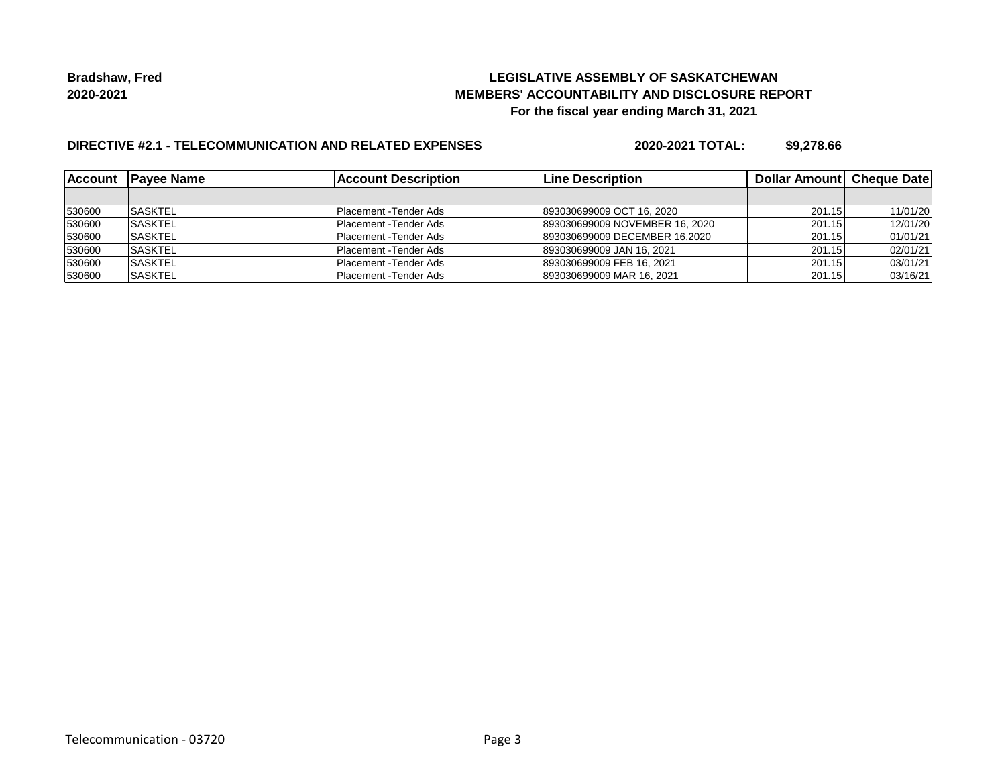## **LEGISLATIVE ASSEMBLY OF SASKATCHEWAN MEMBERS' ACCOUNTABILITY AND DISCLOSURE REPORT For the fiscal year ending March 31, 2021**

# **DIRECTIVE #2.1 - TELECOMMUNICATION AND RELATED EXPENSES**

**2020-2021 TOTAL: \$9,278.66**

|        | Account Payee Name | <b>Account Description</b> | <b>ILine Description</b>       | <b>Dollar Amountl Cheque Date</b> |          |
|--------|--------------------|----------------------------|--------------------------------|-----------------------------------|----------|
|        |                    |                            |                                |                                   |          |
| 530600 | <b>ISASKTEL</b>    | Placement -Tender Ads      | 893030699009 OCT 16, 2020      | 201.15                            | 11/01/20 |
| 530600 | <b>SASKTEL</b>     | Placement - Tender Ads     | 893030699009 NOVEMBER 16, 2020 | 201.15                            | 12/01/20 |
| 530600 | <b>SASKTEL</b>     | Placement - Tender Ads     | 893030699009 DECEMBER 16.2020  | 201.15                            | 01/01/21 |
| 530600 | <b>SASKTEL</b>     | Placement - Tender Ads     | 893030699009 JAN 16, 2021      | 201.15                            | 02/01/21 |
| 530600 | <b>ISASKTEL</b>    | Placement - Tender Ads     | 893030699009 FEB 16, 2021      | 201.15                            | 03/01/21 |
| 530600 | <b>ISASKTEL</b>    | Placement - Tender Ads     | 893030699009 MAR 16, 2021      | 201.15                            | 03/16/21 |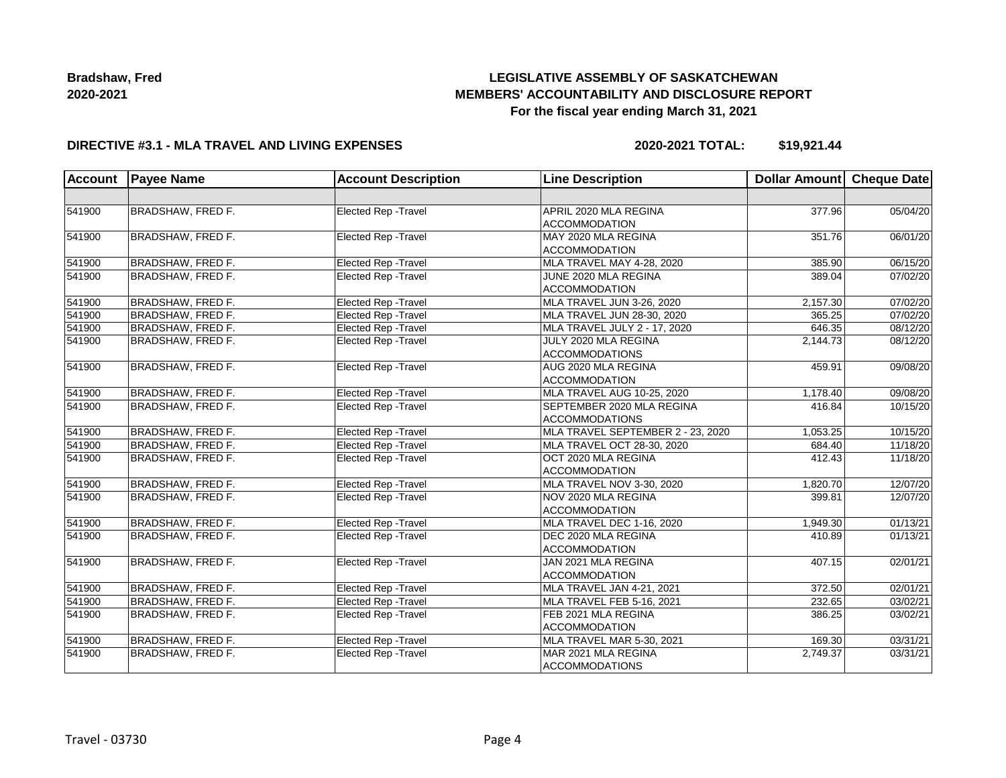# **LEGISLATIVE ASSEMBLY OF SASKATCHEWAN MEMBERS' ACCOUNTABILITY AND DISCLOSURE REPORT For the fiscal year ending March 31, 2021**

### **DIRECTIVE #3.1 - MLA TRAVEL AND LIVING EXPENSES**

**2020-2021 TOTAL: \$19,921.44**

| <b>Account</b> | <b>Payee Name</b>        | <b>Account Description</b>  | <b>Line Description</b>                            | Dollar Amount Cheque Date |          |
|----------------|--------------------------|-----------------------------|----------------------------------------------------|---------------------------|----------|
|                |                          |                             |                                                    |                           |          |
| 541900         | <b>BRADSHAW, FRED F.</b> | Elected Rep - Travel        | APRIL 2020 MLA REGINA<br><b>ACCOMMODATION</b>      | 377.96                    | 05/04/20 |
| 541900         | BRADSHAW, FRED F.        | Elected Rep - Travel        | MAY 2020 MLA REGINA<br><b>ACCOMMODATION</b>        | 351.76                    | 06/01/20 |
| 541900         | BRADSHAW, FRED F.        | Elected Rep - Travel        | MLA TRAVEL MAY 4-28, 2020                          | 385.90                    | 06/15/20 |
| 541900         | BRADSHAW, FRED F.        | <b>Elected Rep - Travel</b> | JUNE 2020 MLA REGINA<br><b>ACCOMMODATION</b>       | 389.04                    | 07/02/20 |
| 541900         | <b>BRADSHAW, FRED F.</b> | Elected Rep - Travel        | MLA TRAVEL JUN 3-26, 2020                          | 2,157.30                  | 07/02/20 |
| 541900         | <b>BRADSHAW, FRED F.</b> | Elected Rep - Travel        | MLA TRAVEL JUN 28-30, 2020                         | 365.25                    | 07/02/20 |
| 541900         | <b>BRADSHAW, FRED F.</b> | <b>Elected Rep - Travel</b> | MLA TRAVEL JULY 2 - 17, 2020                       | 646.35                    | 08/12/20 |
| 541900         | <b>BRADSHAW, FRED F.</b> | Elected Rep - Travel        | JULY 2020 MLA REGINA<br><b>ACCOMMODATIONS</b>      | 2,144.73                  | 08/12/20 |
| 541900         | BRADSHAW, FRED F.        | Elected Rep - Travel        | AUG 2020 MLA REGINA<br><b>ACCOMMODATION</b>        | 459.91                    | 09/08/20 |
| 541900         | <b>BRADSHAW, FRED F.</b> | <b>Elected Rep - Travel</b> | MLA TRAVEL AUG 10-25, 2020                         | 1,178.40                  | 09/08/20 |
| 541900         | BRADSHAW, FRED F.        | Elected Rep - Travel        | SEPTEMBER 2020 MLA REGINA<br><b>ACCOMMODATIONS</b> |                           | 10/15/20 |
| 541900         | <b>BRADSHAW, FRED F.</b> | Elected Rep - Travel        | MLA TRAVEL SEPTEMBER 2 - 23, 2020                  | 1,053.25                  | 10/15/20 |
| 541900         | <b>BRADSHAW, FRED F.</b> | Elected Rep - Travel        | MLA TRAVEL OCT 28-30, 2020                         | 684.40                    | 11/18/20 |
| 541900         | <b>BRADSHAW, FRED F.</b> | Elected Rep - Travel        | OCT 2020 MLA REGINA<br><b>ACCOMMODATION</b>        | 412.43                    | 11/18/20 |
| 541900         | <b>BRADSHAW, FRED F.</b> | Elected Rep - Travel        | MLA TRAVEL NOV 3-30, 2020                          | 1,820.70                  | 12/07/20 |
| 541900         | BRADSHAW, FRED F.        | Elected Rep - Travel        | NOV 2020 MLA REGINA<br>ACCOMMODATION               | 399.81                    | 12/07/20 |
| 541900         | <b>BRADSHAW, FRED F.</b> | Elected Rep - Travel        | MLA TRAVEL DEC 1-16, 2020                          | 1,949.30                  | 01/13/21 |
| 541900         | BRADSHAW, FRED F.        | <b>Elected Rep - Travel</b> | DEC 2020 MLA REGINA<br><b>ACCOMMODATION</b>        | 410.89                    | 01/13/21 |
| 541900         | <b>BRADSHAW, FRED F.</b> | Elected Rep - Travel        | JAN 2021 MLA REGINA<br><b>ACCOMMODATION</b>        | 407.15                    | 02/01/21 |
| 541900         | BRADSHAW, FRED F.        | <b>Elected Rep - Travel</b> | MLA TRAVEL JAN 4-21, 2021                          | 372.50                    | 02/01/21 |
| 541900         | <b>BRADSHAW, FRED F.</b> | Elected Rep - Travel        | MLA TRAVEL FEB 5-16, 2021                          | 232.65                    | 03/02/21 |
| 541900         | <b>BRADSHAW, FRED F.</b> | Elected Rep - Travel        | FEB 2021 MLA REGINA<br><b>ACCOMMODATION</b>        | 386.25                    | 03/02/21 |
| 541900         | BRADSHAW, FRED F.        | <b>Elected Rep - Travel</b> | MLA TRAVEL MAR 5-30, 2021                          | 169.30                    | 03/31/21 |
| 541900         | BRADSHAW, FRED F.        | Elected Rep - Travel        | MAR 2021 MLA REGINA<br><b>ACCOMMODATIONS</b>       | 2,749.37                  | 03/31/21 |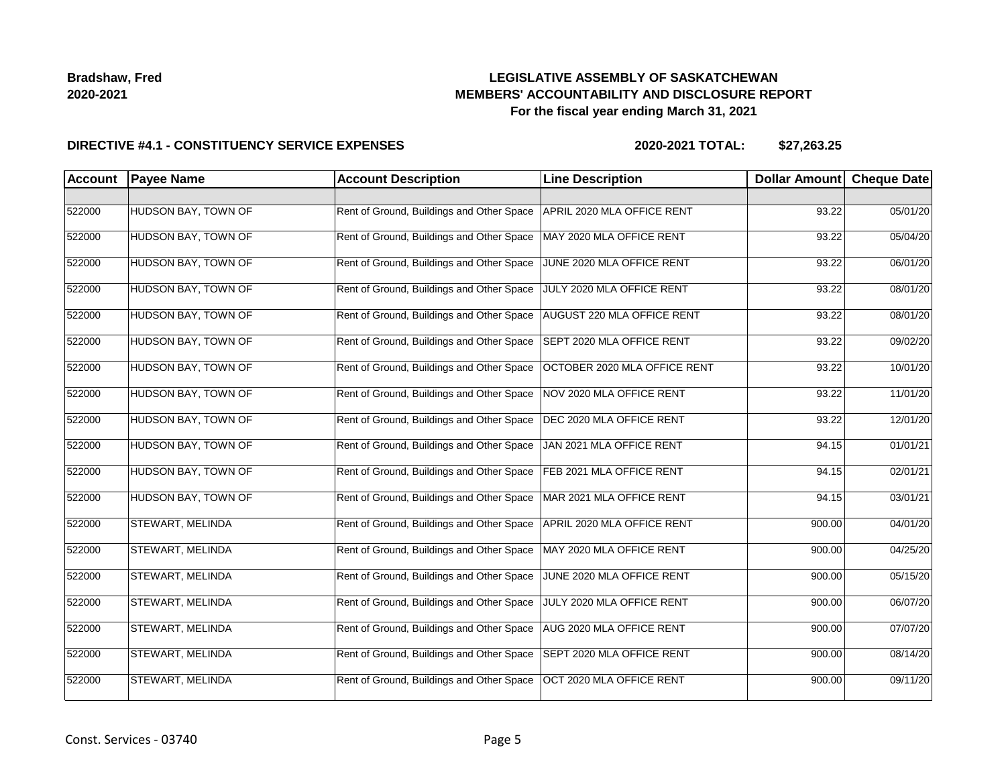## **LEGISLATIVE ASSEMBLY OF SASKATCHEWAN MEMBERS' ACCOUNTABILITY AND DISCLOSURE REPORT For the fiscal year ending March 31, 2021**

### **DIRECTIVE #4.1 - CONSTITUENCY SERVICE EXPENSES**

| Account | <b>Payee Name</b>          | <b>Account Description</b>                | <b>Line Description</b>      | <b>Dollar Amount</b> | <b>Cheque Date</b> |
|---------|----------------------------|-------------------------------------------|------------------------------|----------------------|--------------------|
|         |                            |                                           |                              |                      |                    |
| 522000  | HUDSON BAY, TOWN OF        | Rent of Ground, Buildings and Other Space | APRIL 2020 MLA OFFICE RENT   | 93.22                | 05/01/20           |
| 522000  | HUDSON BAY, TOWN OF        | Rent of Ground, Buildings and Other Space | MAY 2020 MLA OFFICE RENT     | 93.22                | 05/04/20           |
| 522000  | HUDSON BAY, TOWN OF        | Rent of Ground, Buildings and Other Space | JUNE 2020 MLA OFFICE RENT    | 93.22                | 06/01/20           |
| 522000  | HUDSON BAY, TOWN OF        | Rent of Ground, Buildings and Other Space | JULY 2020 MLA OFFICE RENT    | 93.22                | 08/01/20           |
| 522000  | HUDSON BAY, TOWN OF        | Rent of Ground, Buildings and Other Space | AUGUST 220 MLA OFFICE RENT   | 93.22                | 08/01/20           |
| 522000  | HUDSON BAY, TOWN OF        | Rent of Ground, Buildings and Other Space | SEPT 2020 MLA OFFICE RENT    | 93.22                | 09/02/20           |
| 522000  | <b>HUDSON BAY, TOWN OF</b> | Rent of Ground, Buildings and Other Space | OCTOBER 2020 MLA OFFICE RENT | 93.22                | 10/01/20           |
| 522000  | HUDSON BAY, TOWN OF        | Rent of Ground, Buildings and Other Space | NOV 2020 MLA OFFICE RENT     | 93.22                | 11/01/20           |
| 522000  | HUDSON BAY, TOWN OF        | Rent of Ground, Buildings and Other Space | DEC 2020 MLA OFFICE RENT     | 93.22                | 12/01/20           |
| 522000  | HUDSON BAY, TOWN OF        | Rent of Ground, Buildings and Other Space | JAN 2021 MLA OFFICE RENT     | 94.15                | 01/01/21           |
| 522000  | HUDSON BAY, TOWN OF        | Rent of Ground, Buildings and Other Space | FEB 2021 MLA OFFICE RENT     | 94.15                | 02/01/21           |
| 522000  | HUDSON BAY, TOWN OF        | Rent of Ground, Buildings and Other Space | MAR 2021 MLA OFFICE RENT     | 94.15                | 03/01/21           |
| 522000  | <b>STEWART, MELINDA</b>    | Rent of Ground, Buildings and Other Space | APRIL 2020 MLA OFFICE RENT   | 900.00               | 04/01/20           |
| 522000  | <b>STEWART, MELINDA</b>    | Rent of Ground, Buildings and Other Space | MAY 2020 MLA OFFICE RENT     | 900.00               | 04/25/20           |
| 522000  | <b>STEWART, MELINDA</b>    | Rent of Ground, Buildings and Other Space | JUNE 2020 MLA OFFICE RENT    | 900.00               | 05/15/20           |
| 522000  | <b>STEWART, MELINDA</b>    | Rent of Ground, Buildings and Other Space | JULY 2020 MLA OFFICE RENT    | 900.00               | 06/07/20           |
| 522000  | <b>STEWART, MELINDA</b>    | Rent of Ground, Buildings and Other Space | AUG 2020 MLA OFFICE RENT     | 900.00               | 07/07/20           |
| 522000  | <b>STEWART, MELINDA</b>    | Rent of Ground, Buildings and Other Space | SEPT 2020 MLA OFFICE RENT    | 900.00               | 08/14/20           |
| 522000  | STEWART, MELINDA           | Rent of Ground, Buildings and Other Space | OCT 2020 MLA OFFICE RENT     | 900.00               | 09/11/20           |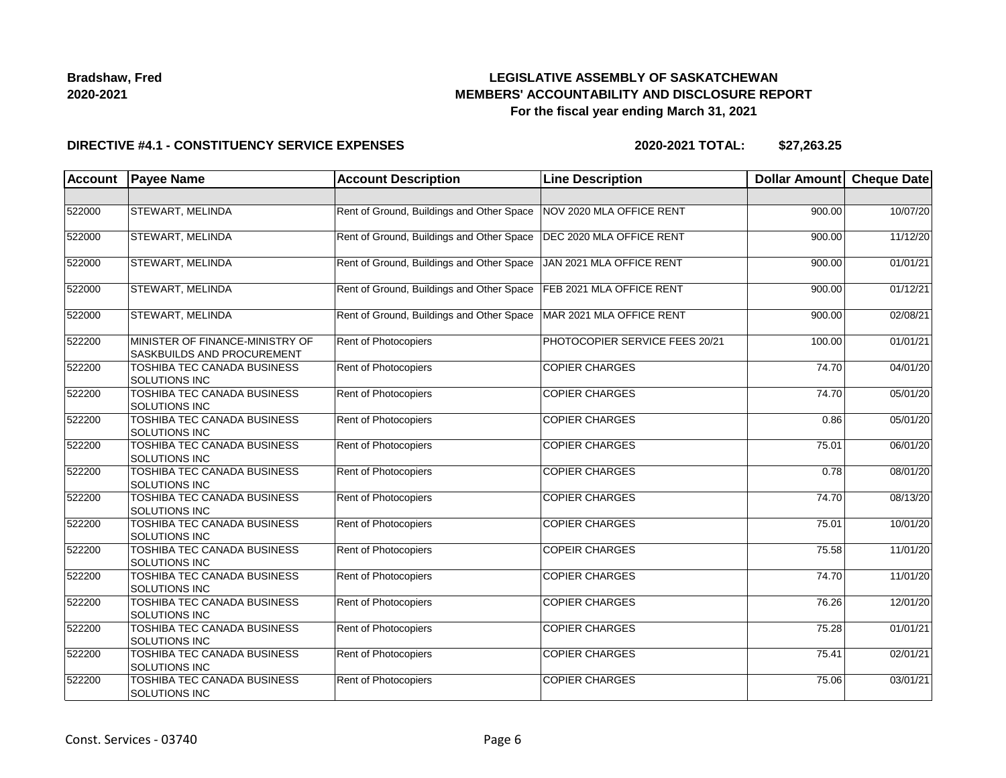## **LEGISLATIVE ASSEMBLY OF SASKATCHEWAN MEMBERS' ACCOUNTABILITY AND DISCLOSURE REPORT For the fiscal year ending March 31, 2021**

### **DIRECTIVE #4.1 - CONSTITUENCY SERVICE EXPENSES**

| <b>Account</b> | <b>Payee Name</b>                                             | <b>Account Description</b>                | <b>Line Description</b>        | Dollar Amount      | <b>Cheque Date</b> |
|----------------|---------------------------------------------------------------|-------------------------------------------|--------------------------------|--------------------|--------------------|
|                |                                                               |                                           |                                |                    |                    |
| 522000         | <b>STEWART, MELINDA</b>                                       | Rent of Ground, Buildings and Other Space | NOV 2020 MLA OFFICE RENT       | 900.00             | 10/07/20           |
| 522000         | <b>STEWART, MELINDA</b>                                       | Rent of Ground, Buildings and Other Space | DEC 2020 MLA OFFICE RENT       | 900.00             | 11/12/20           |
| 522000         | <b>STEWART, MELINDA</b>                                       | Rent of Ground, Buildings and Other Space | JAN 2021 MLA OFFICE RENT       | 900.00             | 01/01/21           |
| 522000         | <b>STEWART, MELINDA</b>                                       | Rent of Ground, Buildings and Other Space | FEB 2021 MLA OFFICE RENT       | 900.00             | 01/12/21           |
| 522000         | <b>STEWART, MELINDA</b>                                       | Rent of Ground, Buildings and Other Space | MAR 2021 MLA OFFICE RENT       | 900.00             | 02/08/21           |
| 522200         | MINISTER OF FINANCE-MINISTRY OF<br>SASKBUILDS AND PROCUREMENT | Rent of Photocopiers                      | PHOTOCOPIER SERVICE FEES 20/21 | 100.00             | 01/01/21           |
| 522200         | <b>TOSHIBA TEC CANADA BUSINESS</b><br>SOLUTIONS INC           | Rent of Photocopiers                      | <b>COPIER CHARGES</b>          | 74.70              | 04/01/20           |
| 522200         | TOSHIBA TEC CANADA BUSINESS<br><b>SOLUTIONS INC</b>           | Rent of Photocopiers                      | <b>COPIER CHARGES</b>          | 74.70              | 05/01/20           |
| 522200         | TOSHIBA TEC CANADA BUSINESS<br>SOLUTIONS INC                  | Rent of Photocopiers                      | <b>COPIER CHARGES</b>          | 0.86               | 05/01/20           |
| 522200         | <b>TOSHIBA TEC CANADA BUSINESS</b><br>SOLUTIONS INC           | Rent of Photocopiers                      | <b>COPIER CHARGES</b>          | $\overline{75.01}$ | 06/01/20           |
| 522200         | <b>TOSHIBA TEC CANADA BUSINESS</b><br><b>SOLUTIONS INC</b>    | Rent of Photocopiers                      | <b>COPIER CHARGES</b>          | 0.78               | 08/01/20           |
| 522200         | TOSHIBA TEC CANADA BUSINESS<br>SOLUTIONS INC                  | <b>Rent of Photocopiers</b>               | <b>COPIER CHARGES</b>          | 74.70              | 08/13/20           |
| 522200         | TOSHIBA TEC CANADA BUSINESS<br><b>SOLUTIONS INC</b>           | Rent of Photocopiers                      | <b>COPIER CHARGES</b>          | 75.01              | 10/01/20           |
| 522200         | TOSHIBA TEC CANADA BUSINESS<br><b>SOLUTIONS INC</b>           | Rent of Photocopiers                      | <b>COPEIR CHARGES</b>          | 75.58              | 11/01/20           |
| 522200         | TOSHIBA TEC CANADA BUSINESS<br><b>SOLUTIONS INC</b>           | Rent of Photocopiers                      | <b>COPIER CHARGES</b>          | 74.70              | 11/01/20           |
| 522200         | TOSHIBA TEC CANADA BUSINESS<br><b>SOLUTIONS INC</b>           | <b>Rent of Photocopiers</b>               | <b>COPIER CHARGES</b>          | 76.26              | 12/01/20           |
| 522200         | TOSHIBA TEC CANADA BUSINESS<br><b>SOLUTIONS INC</b>           | <b>Rent of Photocopiers</b>               | <b>COPIER CHARGES</b>          | 75.28              | 01/01/21           |
| 522200         | TOSHIBA TEC CANADA BUSINESS<br><b>SOLUTIONS INC</b>           | Rent of Photocopiers                      | <b>COPIER CHARGES</b>          | 75.41              | 02/01/21           |
| 522200         | TOSHIBA TEC CANADA BUSINESS<br><b>SOLUTIONS INC</b>           | <b>Rent of Photocopiers</b>               | <b>COPIER CHARGES</b>          | 75.06              | 03/01/21           |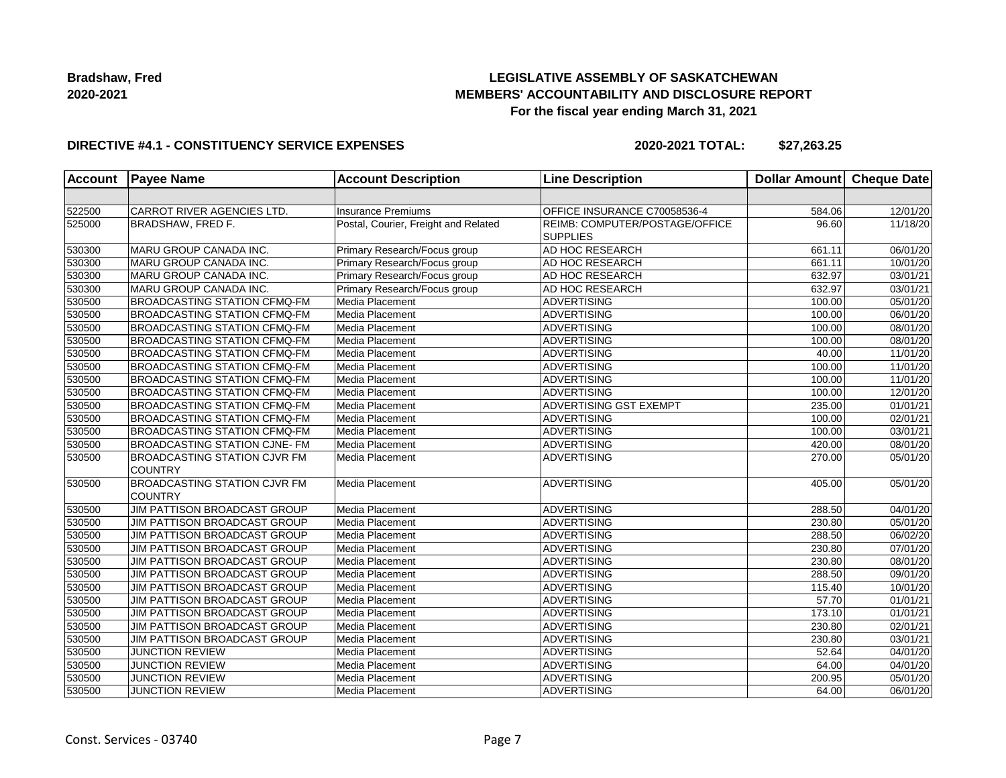## **LEGISLATIVE ASSEMBLY OF SASKATCHEWAN MEMBERS' ACCOUNTABILITY AND DISCLOSURE REPORT For the fiscal year ending March 31, 2021**

### **DIRECTIVE #4.1 - CONSTITUENCY SERVICE EXPENSES**

| <b>Account</b> | <b>Payee Name</b>                                     | <b>Account Description</b>           | <b>Line Description</b>                           | <b>Dollar Amount</b> | Cheque Date           |
|----------------|-------------------------------------------------------|--------------------------------------|---------------------------------------------------|----------------------|-----------------------|
|                |                                                       |                                      |                                                   |                      |                       |
| 522500         | CARROT RIVER AGENCIES LTD.                            | <b>Insurance Premiums</b>            | OFFICE INSURANCE C70058536-4                      | 584.06               | 12/01/20              |
| 525000         | BRADSHAW, FRED F.                                     | Postal, Courier, Freight and Related | REIMB: COMPUTER/POSTAGE/OFFICE<br><b>SUPPLIES</b> | 96.60                | 11/18/20              |
| 530300         | MARU GROUP CANADA INC.                                | Primary Research/Focus group         | AD HOC RESEARCH                                   | 661.11               | 06/01/20              |
| 530300         | MARU GROUP CANADA INC.                                | Primary Research/Focus group         | <b>AD HOC RESEARCH</b>                            | 661.11               | 10/01/20              |
| 530300         | MARU GROUP CANADA INC.                                | Primary Research/Focus group         | AD HOC RESEARCH                                   | 632.97               | 03/01/21              |
| 530300         | MARU GROUP CANADA INC.                                | Primary Research/Focus group         | <b>AD HOC RESEARCH</b>                            | 632.97               | $\overline{03}/01/21$ |
| 530500         | <b>BROADCASTING STATION CFMQ-FM</b>                   | Media Placement                      | ADVERTISING                                       | 100.00               | 05/01/20              |
| 530500         | <b>BROADCASTING STATION CFMQ-FM</b>                   | Media Placement                      | <b>ADVERTISING</b>                                | 100.00               | 06/01/20              |
| 530500         | <b>BROADCASTING STATION CFMQ-FM</b>                   | Media Placement                      | ADVERTISING                                       | 100.00               | 08/01/20              |
| 530500         | <b>BROADCASTING STATION CFMQ-FM</b>                   | Media Placement                      | <b>ADVERTISING</b>                                | 100.00               | 08/01/20              |
| 530500         | <b>BROADCASTING STATION CFMQ-FM</b>                   | Media Placement                      | ADVERTISING                                       | 40.00                | 11/01/20              |
| 530500         | <b>BROADCASTING STATION CFMQ-FM</b>                   | Media Placement                      | <b>ADVERTISING</b>                                | 100.00               | 11/01/20              |
| 530500         | <b>BROADCASTING STATION CFMQ-FM</b>                   | Media Placement                      | <b>ADVERTISING</b>                                | 100.00               | 11/01/20              |
| 530500         | <b>BROADCASTING STATION CFMQ-FM</b>                   | Media Placement                      | <b>ADVERTISING</b>                                | 100.00               | 12/01/20              |
| 530500         | <b>BROADCASTING STATION CFMQ-FM</b>                   | Media Placement                      | ADVERTISING GST EXEMPT                            | 235.00               | 01/01/21              |
| 530500         | <b>BROADCASTING STATION CFMQ-FM</b>                   | Media Placement                      | <b>ADVERTISING</b>                                | 100.00               | 02/01/21              |
| 530500         | <b>BROADCASTING STATION CFMQ-FM</b>                   | Media Placement                      | <b>ADVERTISING</b>                                | 100.00               | $\overline{03}/01/21$ |
| 530500         | <b>BROADCASTING STATION CJNE- FM</b>                  | Media Placement                      | <b>ADVERTISING</b>                                | 420.00               | 08/01/20              |
| 530500         | <b>BROADCASTING STATION CJVR FM</b><br><b>COUNTRY</b> | Media Placement                      | ADVERTISING                                       | 270.00               | 05/01/20              |
| 530500         | <b>BROADCASTING STATION CJVR FM</b><br><b>COUNTRY</b> | Media Placement                      | ADVERTISING                                       | 405.00               | 05/01/20              |
| 530500         | JIM PATTISON BROADCAST GROUP                          | Media Placement                      | <b>ADVERTISING</b>                                | 288.50               | 04/01/20              |
| 530500         | JIM PATTISON BROADCAST GROUP                          | Media Placement                      | <b>ADVERTISING</b>                                | 230.80               | 05/01/20              |
| 530500         | JIM PATTISON BROADCAST GROUP                          | Media Placement                      | <b>ADVERTISING</b>                                | 288.50               | 06/02/20              |
| 530500         | JIM PATTISON BROADCAST GROUP                          | Media Placement                      | <b>ADVERTISING</b>                                | 230.80               | $\overline{07/0}1/20$ |
| 530500         | JIM PATTISON BROADCAST GROUP                          | Media Placement                      | ADVERTISING                                       | 230.80               | 08/01/20              |
| 530500         | JIM PATTISON BROADCAST GROUP                          | Media Placement                      | ADVERTISING                                       | 288.50               | 09/01/20              |
| 530500         | JIM PATTISON BROADCAST GROUP                          | Media Placement                      | <b>ADVERTISING</b>                                | 115.40               | 10/01/20              |
| 530500         | JIM PATTISON BROADCAST GROUP                          | Media Placement                      | ADVERTISING                                       | 57.70                | 01/01/21              |
| 530500         | JIM PATTISON BROADCAST GROUP                          | Media Placement                      | ADVERTISING                                       | 173.10               | 01/01/21              |
| 530500         | JIM PATTISON BROADCAST GROUP                          | Media Placement                      | <b>ADVERTISING</b>                                | 230.80               | 02/01/21              |
| 530500         | JIM PATTISON BROADCAST GROUP                          | Media Placement                      | ADVERTISING                                       | 230.80               | 03/01/21              |
| 530500         | <b>JUNCTION REVIEW</b>                                | Media Placement                      | <b>ADVERTISING</b>                                | 52.64                | 04/01/20              |
| 530500         | <b>JUNCTION REVIEW</b>                                | Media Placement                      | <b>ADVERTISING</b>                                | 64.00                | 04/01/20              |
| 530500         | <b>JUNCTION REVIEW</b>                                | Media Placement                      | <b>ADVERTISING</b>                                | 200.95               | 05/01/20              |
| 530500         | <b>JUNCTION REVIEW</b>                                | Media Placement                      | ADVERTISING                                       | 64.00                | 06/01/20              |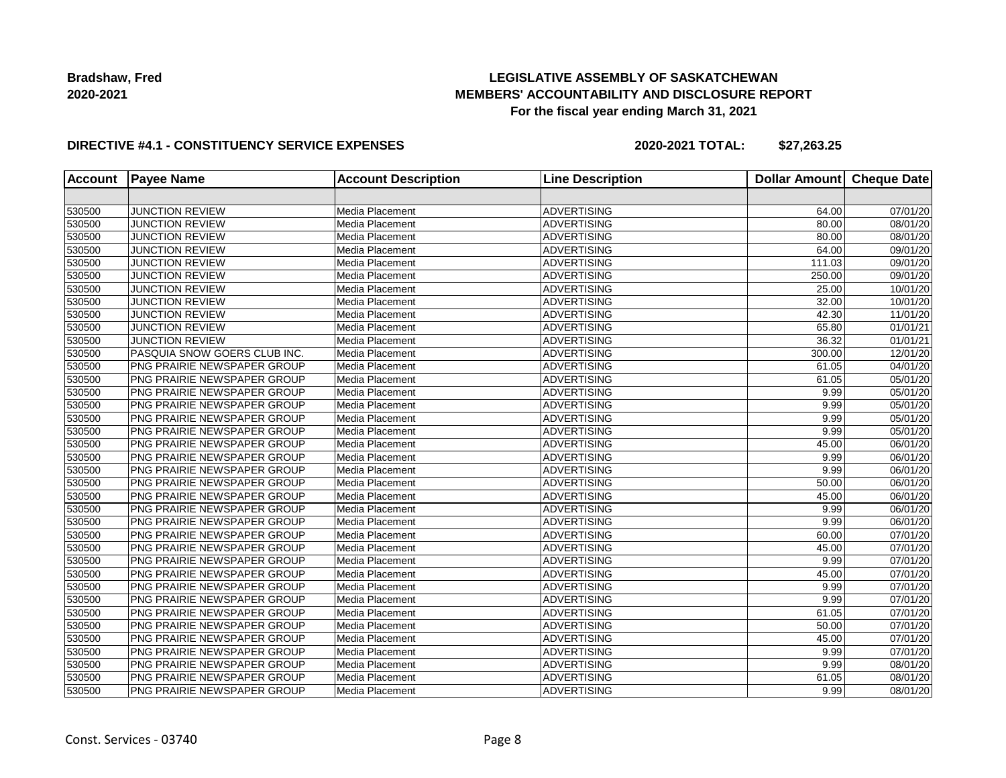## **LEGISLATIVE ASSEMBLY OF SASKATCHEWAN MEMBERS' ACCOUNTABILITY AND DISCLOSURE REPORT For the fiscal year ending March 31, 2021**

### **DIRECTIVE #4.1 - CONSTITUENCY SERVICE EXPENSES**

| <b>Account</b> | <b>Payee Name</b>                  | <b>Account Description</b> | <b>Line Description</b> | <b>Dollar Amount</b> | <b>Cheque Date</b>    |
|----------------|------------------------------------|----------------------------|-------------------------|----------------------|-----------------------|
|                |                                    |                            |                         |                      |                       |
| 530500         | <b>JUNCTION REVIEW</b>             | Media Placement            | <b>ADVERTISING</b>      | 64.00                | 07/01/20              |
| 530500         | <b>JUNCTION REVIEW</b>             | Media Placement            | <b>ADVERTISING</b>      | 80.00                | 08/01/20              |
| 530500         | <b>JUNCTION REVIEW</b>             | Media Placement            | <b>ADVERTISING</b>      | 80.00                | 08/01/20              |
| 530500         | <b>JUNCTION REVIEW</b>             | Media Placement            | <b>ADVERTISING</b>      | 64.00                | $\overline{09}/01/20$ |
| 530500         | <b>JUNCTION REVIEW</b>             | Media Placement            | <b>ADVERTISING</b>      | 111.03               | 09/01/20              |
| 530500         | <b>JUNCTION REVIEW</b>             | Media Placement            | <b>ADVERTISING</b>      | 250.00               | 09/01/20              |
| 530500         | <b>JUNCTION REVIEW</b>             | Media Placement            | <b>ADVERTISING</b>      | 25.00                | 10/01/20              |
| 530500         | <b>JUNCTION REVIEW</b>             | Media Placement            | <b>ADVERTISING</b>      | 32.00                | 10/01/20              |
| 530500         | <b>JUNCTION REVIEW</b>             | Media Placement            | <b>ADVERTISING</b>      | 42.30                | 11/01/20              |
| 530500         | <b>JUNCTION REVIEW</b>             | Media Placement            | <b>ADVERTISING</b>      | 65.80                | 01/01/21              |
| 530500         | <b>JUNCTION REVIEW</b>             | Media Placement            | <b>ADVERTISING</b>      | 36.32                | 01/01/21              |
| 530500         | PASQUIA SNOW GOERS CLUB INC.       | Media Placement            | <b>ADVERTISING</b>      | 300.00               | 12/01/20              |
| 530500         | PNG PRAIRIE NEWSPAPER GROUP        | Media Placement            | <b>ADVERTISING</b>      | 61.05                | 04/01/20              |
| 530500         | PNG PRAIRIE NEWSPAPER GROUP        | Media Placement            | <b>ADVERTISING</b>      | 61.05                | 05/01/20              |
| 530500         | PNG PRAIRIE NEWSPAPER GROUP        | Media Placement            | <b>ADVERTISING</b>      | 9.99                 | 05/01/20              |
| 530500         | PNG PRAIRIE NEWSPAPER GROUP        | Media Placement            | <b>ADVERTISING</b>      | 9.99                 | 05/01/20              |
| 530500         | PNG PRAIRIE NEWSPAPER GROUP        | Media Placement            | <b>ADVERTISING</b>      | 9.99                 | 05/01/20              |
| 530500         | PNG PRAIRIE NEWSPAPER GROUP        | Media Placement            | <b>ADVERTISING</b>      | 9.99                 | 05/01/20              |
| 530500         | PNG PRAIRIE NEWSPAPER GROUP        | Media Placement            | <b>ADVERTISING</b>      | 45.00                | 06/01/20              |
| 530500         | PNG PRAIRIE NEWSPAPER GROUP        | Media Placement            | <b>ADVERTISING</b>      | 9.99                 | 06/01/20              |
| 530500         | <b>PNG PRAIRIE NEWSPAPER GROUP</b> | Media Placement            | <b>ADVERTISING</b>      | 9.99                 | 06/01/20              |
| 530500         | PNG PRAIRIE NEWSPAPER GROUP        | Media Placement            | <b>ADVERTISING</b>      | 50.00                | 06/01/20              |
| 530500         | PNG PRAIRIE NEWSPAPER GROUP        | Media Placement            | <b>ADVERTISING</b>      | 45.00                | 06/01/20              |
| 530500         | PNG PRAIRIE NEWSPAPER GROUP        | Media Placement            | <b>ADVERTISING</b>      | 9.99                 | 06/01/20              |
| 530500         | PNG PRAIRIE NEWSPAPER GROUP        | Media Placement            | <b>ADVERTISING</b>      | 9.99                 | 06/01/20              |
| 530500         | PNG PRAIRIE NEWSPAPER GROUP        | Media Placement            | <b>ADVERTISING</b>      | 60.00                | 07/01/20              |
| 530500         | PNG PRAIRIE NEWSPAPER GROUP        | Media Placement            | <b>ADVERTISING</b>      | 45.00                | 07/01/20              |
| 530500         | PNG PRAIRIE NEWSPAPER GROUP        | Media Placement            | <b>ADVERTISING</b>      | 9.99                 | 07/01/20              |
| 530500         | PNG PRAIRIE NEWSPAPER GROUP        | Media Placement            | <b>ADVERTISING</b>      | 45.00                | 07/01/20              |
| 530500         | PNG PRAIRIE NEWSPAPER GROUP        | Media Placement            | <b>ADVERTISING</b>      | 9.99                 | $\overline{07/0}1/20$ |
| 530500         | PNG PRAIRIE NEWSPAPER GROUP        | Media Placement            | <b>ADVERTISING</b>      | 9.99                 | 07/01/20              |
| 530500         | PNG PRAIRIE NEWSPAPER GROUP        | Media Placement            | <b>ADVERTISING</b>      | 61.05                | 07/01/20              |
| 530500         | PNG PRAIRIE NEWSPAPER GROUP        | Media Placement            | <b>ADVERTISING</b>      | 50.00                | 07/01/20              |
| 530500         | PNG PRAIRIE NEWSPAPER GROUP        | Media Placement            | <b>ADVERTISING</b>      | 45.00                | 07/01/20              |
| 530500         | PNG PRAIRIE NEWSPAPER GROUP        | Media Placement            | <b>ADVERTISING</b>      | 9.99                 | 07/01/20              |
| 530500         | <b>PNG PRAIRIE NEWSPAPER GROUP</b> | Media Placement            | <b>ADVERTISING</b>      | 9.99                 | 08/01/20              |
| 530500         | PNG PRAIRIE NEWSPAPER GROUP        | Media Placement            | <b>ADVERTISING</b>      | 61.05                | 08/01/20              |
| 530500         | PNG PRAIRIE NEWSPAPER GROUP        | Media Placement            | <b>ADVERTISING</b>      | 9.99                 | 08/01/20              |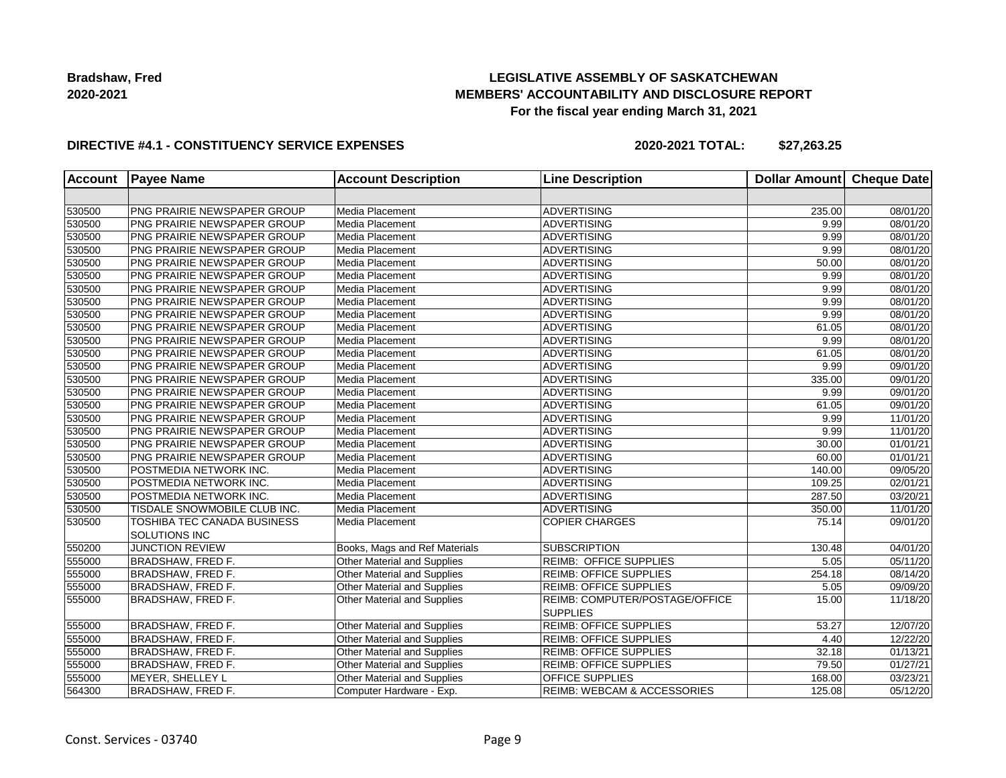## **LEGISLATIVE ASSEMBLY OF SASKATCHEWAN MEMBERS' ACCOUNTABILITY AND DISCLOSURE REPORT For the fiscal year ending March 31, 2021**

### **DIRECTIVE #4.1 - CONSTITUENCY SERVICE EXPENSES**

| <b>Account</b> | <b>Payee Name</b>                            | <b>Account Description</b>         | <b>Line Description</b>                           | <b>Dollar Amount</b> | <b>Cheque Date</b>    |
|----------------|----------------------------------------------|------------------------------------|---------------------------------------------------|----------------------|-----------------------|
|                |                                              |                                    |                                                   |                      |                       |
| 530500         | PNG PRAIRIE NEWSPAPER GROUP                  | Media Placement                    | <b>ADVERTISING</b>                                | 235.00               | 08/01/20              |
| 530500         | PNG PRAIRIE NEWSPAPER GROUP                  | Media Placement                    | <b>ADVERTISING</b>                                | 9.99                 | 08/01/20              |
| 530500         | PNG PRAIRIE NEWSPAPER GROUP                  | Media Placement                    | <b>ADVERTISING</b>                                | 9.99                 | 08/01/20              |
| 530500         | PNG PRAIRIE NEWSPAPER GROUP                  | Media Placement                    | ADVERTISING                                       | 9.99                 | $\overline{08}/01/20$ |
| 530500         | PNG PRAIRIE NEWSPAPER GROUP                  | Media Placement                    | <b>ADVERTISING</b>                                | 50.00                | 08/01/20              |
| 530500         | PNG PRAIRIE NEWSPAPER GROUP                  | Media Placement                    | <b>ADVERTISING</b>                                | 9.99                 | 08/01/20              |
| 530500         | PNG PRAIRIE NEWSPAPER GROUP                  | Media Placement                    | <b>ADVERTISING</b>                                | 9.99                 | 08/01/20              |
| 530500         | PNG PRAIRIE NEWSPAPER GROUP                  | Media Placement                    | <b>ADVERTISING</b>                                | 9.99                 | 08/01/20              |
| 530500         | PNG PRAIRIE NEWSPAPER GROUP                  | Media Placement                    | ADVERTISING                                       | 9.99                 | 08/01/20              |
| 530500         | PNG PRAIRIE NEWSPAPER GROUP                  | Media Placement                    | <b>ADVERTISING</b>                                | 61.05                | 08/01/20              |
| 530500         | PNG PRAIRIE NEWSPAPER GROUP                  | Media Placement                    | <b>ADVERTISING</b>                                | 9.99                 | 08/01/20              |
| 530500         | PNG PRAIRIE NEWSPAPER GROUP                  | Media Placement                    | <b>ADVERTISING</b>                                | 61.05                | 08/01/20              |
| 530500         | PNG PRAIRIE NEWSPAPER GROUP                  | Media Placement                    | <b>ADVERTISING</b>                                | 9.99                 | 09/01/20              |
| 530500         | PNG PRAIRIE NEWSPAPER GROUP                  | Media Placement                    | <b>ADVERTISING</b>                                | 335.00               | 09/01/20              |
| 530500         | PNG PRAIRIE NEWSPAPER GROUP                  | Media Placement                    | ADVERTISING                                       | 9.99                 | 09/01/20              |
| 530500         | PNG PRAIRIE NEWSPAPER GROUP                  | Media Placement                    | <b>ADVERTISING</b>                                | 61.05                | 09/01/20              |
| 530500         | PNG PRAIRIE NEWSPAPER GROUP                  | Media Placement                    | <b>ADVERTISING</b>                                | 9.99                 | 11/01/20              |
| 530500         | PNG PRAIRIE NEWSPAPER GROUP                  | Media Placement                    | <b>ADVERTISING</b>                                | 9.99                 | 11/01/20              |
| 530500         | PNG PRAIRIE NEWSPAPER GROUP                  | Media Placement                    | <b>ADVERTISING</b>                                | 30.00                | 01/01/21              |
| 530500         | PNG PRAIRIE NEWSPAPER GROUP                  | Media Placement                    | <b>ADVERTISING</b>                                | 60.00                | 01/01/21              |
| 530500         | POSTMEDIA NETWORK INC.                       | Media Placement                    | ADVERTISING                                       | 140.00               | 09/05/20              |
| 530500         | POSTMEDIA NETWORK INC.                       | Media Placement                    | <b>ADVERTISING</b>                                | 109.25               | 02/01/21              |
| 530500         | POSTMEDIA NETWORK INC.                       | Media Placement                    | <b>ADVERTISING</b>                                | 287.50               | 03/20/21              |
| 530500         | TISDALE SNOWMOBILE CLUB INC.                 | Media Placement                    | <b>ADVERTISING</b>                                | 350.00               | 11/01/20              |
| 530500         | TOSHIBA TEC CANADA BUSINESS<br>SOLUTIONS INC | Media Placement                    | <b>COPIER CHARGES</b>                             | 75.14                | 09/01/20              |
| 550200         | <b>JUNCTION REVIEW</b>                       | Books, Mags and Ref Materials      | <b>SUBSCRIPTION</b>                               | 130.48               | 04/01/20              |
| 555000         | BRADSHAW, FRED F.                            | Other Material and Supplies        | REIMB: OFFICE SUPPLIES                            | 5.05                 | 05/11/20              |
| 555000         | BRADSHAW, FRED F.                            | Other Material and Supplies        | <b>REIMB: OFFICE SUPPLIES</b>                     | 254.18               | 08/14/20              |
| 555000         | BRADSHAW, FRED F.                            | Other Material and Supplies        | <b>REIMB: OFFICE SUPPLIES</b>                     | 5.05                 | 09/09/20              |
| 555000         | BRADSHAW, FRED F.                            | <b>Other Material and Supplies</b> | REIMB: COMPUTER/POSTAGE/OFFICE<br><b>SUPPLIES</b> | 15.00                | 11/18/20              |
| 555000         | BRADSHAW, FRED F.                            | Other Material and Supplies        | <b>REIMB: OFFICE SUPPLIES</b>                     | 53.27                | 12/07/20              |
| 555000         | BRADSHAW, FRED F.                            | <b>Other Material and Supplies</b> | <b>REIMB: OFFICE SUPPLIES</b>                     | 4.40                 | $\overline{12}/22/20$ |
| 555000         | BRADSHAW, FRED F.                            | Other Material and Supplies        | <b>REIMB: OFFICE SUPPLIES</b>                     | 32.18                | 01/13/21              |
| 555000         | BRADSHAW, FRED F.                            | <b>Other Material and Supplies</b> | <b>REIMB: OFFICE SUPPLIES</b>                     | 79.50                | 01/27/21              |
| 555000         | MEYER, SHELLEY L                             | Other Material and Supplies        | <b>OFFICE SUPPLIES</b>                            | 168.00               | 03/23/21              |
| 564300         | <b>BRADSHAW, FRED F.</b>                     | Computer Hardware - Exp.           | <b>REIMB: WEBCAM &amp; ACCESSORIES</b>            | 125.08               | 05/12/20              |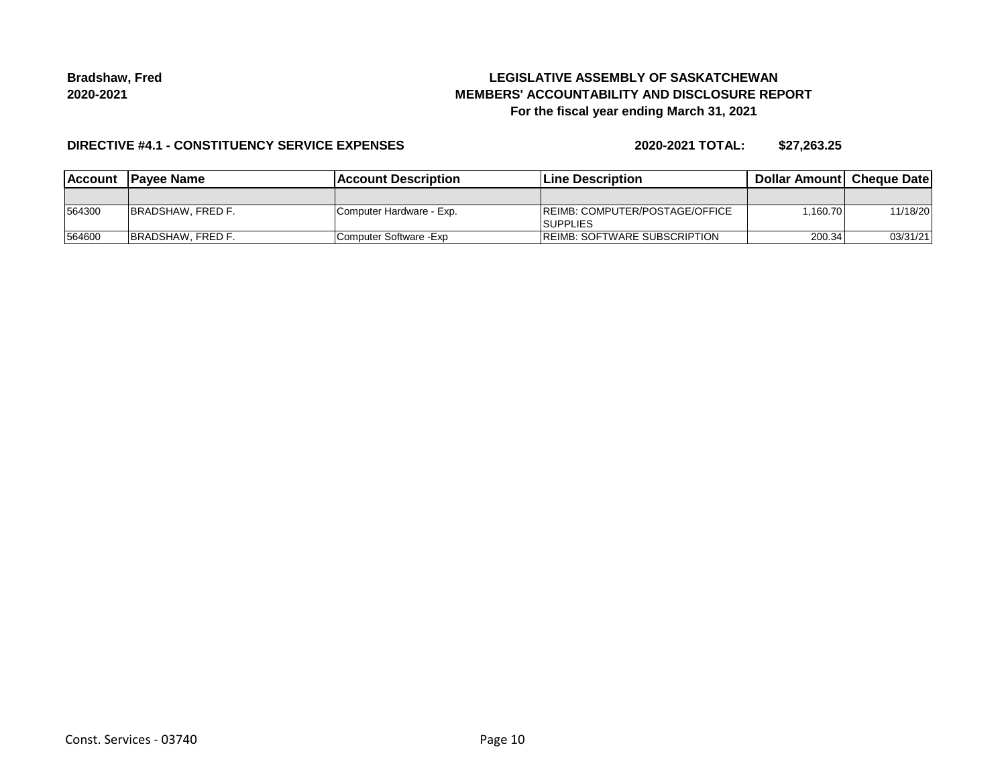## **LEGISLATIVE ASSEMBLY OF SASKATCHEWAN MEMBERS' ACCOUNTABILITY AND DISCLOSURE REPORT For the fiscal year ending March 31, 2021**

#### **DIRECTIVE #4.1 - CONSTITUENCY SERVICE EXPENSES**

| Account | <b>IPavee Name</b>        | <b>IAccount Description</b> | Line Description                                          | <b>Dollar Amountl Cheque Date</b> |          |
|---------|---------------------------|-----------------------------|-----------------------------------------------------------|-----------------------------------|----------|
|         |                           |                             |                                                           |                                   |          |
| 564300  | <b>IBRADSHAW, FRED F.</b> | Computer Hardware - Exp.    | <b>IREIMB: COMPUTER/POSTAGE/OFFICE</b><br><b>SUPPLIES</b> | 1.160.70                          | 11/18/20 |
| 564600  | <b>IBRADSHAW, FRED F.</b> | Computer Software - Exp     | <b>REIMB: SOFTWARE SUBSCRIPTION</b>                       | 200.34                            | 03/31/21 |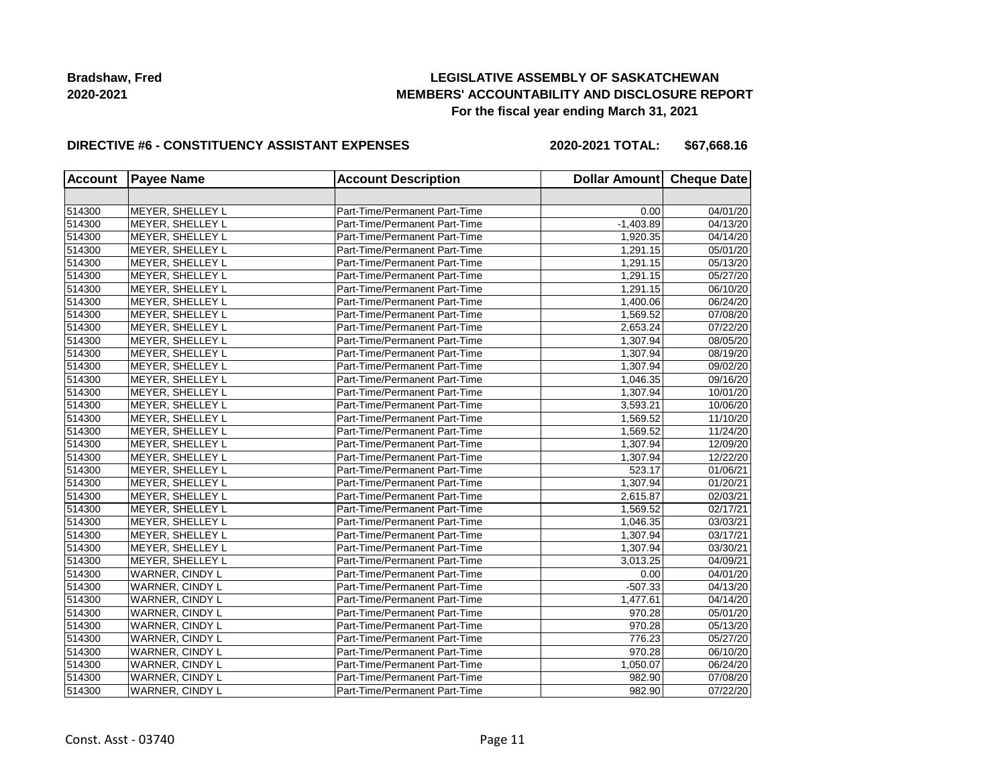## **LEGISLATIVE ASSEMBLY OF SASKATCHEWAN MEMBERS' ACCOUNTABILITY AND DISCLOSURE REPORT For the fiscal year ending March 31, 2021**

#### **DIRECTIVE #6 - CONSTITUENCY ASSISTANT EXPENSES**

**2020-2021 TOTAL: \$67,668.16**

| <b>Account</b> | <b>Payee Name</b>       | <b>Account Description</b>    | Dollar Amount Cheque Date |          |
|----------------|-------------------------|-------------------------------|---------------------------|----------|
|                |                         |                               |                           |          |
| 514300         | MEYER, SHELLEY L        | Part-Time/Permanent Part-Time | 0.00                      | 04/01/20 |
| 514300         | MEYER, SHELLEY L        | Part-Time/Permanent Part-Time | $-1,403.89$               | 04/13/20 |
| 514300         | MEYER, SHELLEY L        | Part-Time/Permanent Part-Time | 1,920.35                  | 04/14/20 |
| 514300         | MEYER, SHELLEY L        | Part-Time/Permanent Part-Time | 1,291.15                  | 05/01/20 |
| 514300         | MEYER, SHELLEY L        | Part-Time/Permanent Part-Time | 1,291.15                  | 05/13/20 |
| 514300         | MEYER, SHELLEY L        | Part-Time/Permanent Part-Time | 1,291.15                  | 05/27/20 |
| 514300         | MEYER, SHELLEY L        | Part-Time/Permanent Part-Time | 1,291.15                  | 06/10/20 |
| 514300         | <b>MEYER, SHELLEY L</b> | Part-Time/Permanent Part-Time | 1,400.06                  | 06/24/20 |
| 514300         | MEYER, SHELLEY L        | Part-Time/Permanent Part-Time | 1,569.52                  | 07/08/20 |
| 514300         | MEYER, SHELLEY L        | Part-Time/Permanent Part-Time | 2,653.24                  | 07/22/20 |
| 514300         | MEYER, SHELLEY L        | Part-Time/Permanent Part-Time | 1,307.94                  | 08/05/20 |
| 514300         | MEYER, SHELLEY L        | Part-Time/Permanent Part-Time | 1,307.94                  | 08/19/20 |
| 514300         | MEYER, SHELLEY L        | Part-Time/Permanent Part-Time | 1,307.94                  | 09/02/20 |
| 514300         | MEYER, SHELLEY L        | Part-Time/Permanent Part-Time | 1,046.35                  | 09/16/20 |
| 514300         | MEYER, SHELLEY L        | Part-Time/Permanent Part-Time | 1,307.94                  | 10/01/20 |
| 514300         | MEYER, SHELLEY L        | Part-Time/Permanent Part-Time | 3,593.21                  | 10/06/20 |
| 514300         | MEYER, SHELLEY L        | Part-Time/Permanent Part-Time | 1,569.52                  | 11/10/20 |
| 514300         | MEYER, SHELLEY L        | Part-Time/Permanent Part-Time | 1,569.52                  | 11/24/20 |
| 514300         | MEYER, SHELLEY L        | Part-Time/Permanent Part-Time | 1,307.94                  | 12/09/20 |
| 514300         | MEYER, SHELLEY L        | Part-Time/Permanent Part-Time | 1,307.94                  | 12/22/20 |
| 514300         | MEYER, SHELLEY L        | Part-Time/Permanent Part-Time | 523.17                    | 01/06/21 |
| 514300         | <b>MEYER, SHELLEY L</b> | Part-Time/Permanent Part-Time | 1,307.94                  | 01/20/21 |
| 514300         | MEYER, SHELLEY L        | Part-Time/Permanent Part-Time | 2,615.87                  | 02/03/21 |
| 514300         | MEYER, SHELLEY L        | Part-Time/Permanent Part-Time | 1,569.52                  | 02/17/21 |
| 514300         | MEYER, SHELLEY L        | Part-Time/Permanent Part-Time | 1,046.35                  | 03/03/21 |
| 514300         | MEYER, SHELLEY L        | Part-Time/Permanent Part-Time | 1,307.94                  | 03/17/21 |
| 514300         | MEYER, SHELLEY L        | Part-Time/Permanent Part-Time | 1,307.94                  | 03/30/21 |
| 514300         | MEYER, SHELLEY L        | Part-Time/Permanent Part-Time | 3,013.25                  | 04/09/21 |
| 514300         | WARNER, CINDY L         | Part-Time/Permanent Part-Time | 0.00                      | 04/01/20 |
| 514300         | WARNER, CINDY L         | Part-Time/Permanent Part-Time | $-507.33$                 | 04/13/20 |
| 514300         | WARNER, CINDY L         | Part-Time/Permanent Part-Time | 1,477.61                  | 04/14/20 |
| 514300         | WARNER, CINDY L         | Part-Time/Permanent Part-Time | 970.28                    | 05/01/20 |
| 514300         | WARNER, CINDY L         | Part-Time/Permanent Part-Time | 970.28                    | 05/13/20 |
| 514300         | WARNER, CINDY L         | Part-Time/Permanent Part-Time | 776.23                    | 05/27/20 |
| 514300         | WARNER, CINDY L         | Part-Time/Permanent Part-Time | 970.28                    | 06/10/20 |
| 514300         | WARNER, CINDY L         | Part-Time/Permanent Part-Time | 1,050.07                  | 06/24/20 |
| 514300         | WARNER, CINDY L         | Part-Time/Permanent Part-Time | 982.90                    | 07/08/20 |
| 514300         | WARNER, CINDY L         | Part-Time/Permanent Part-Time | 982.90                    | 07/22/20 |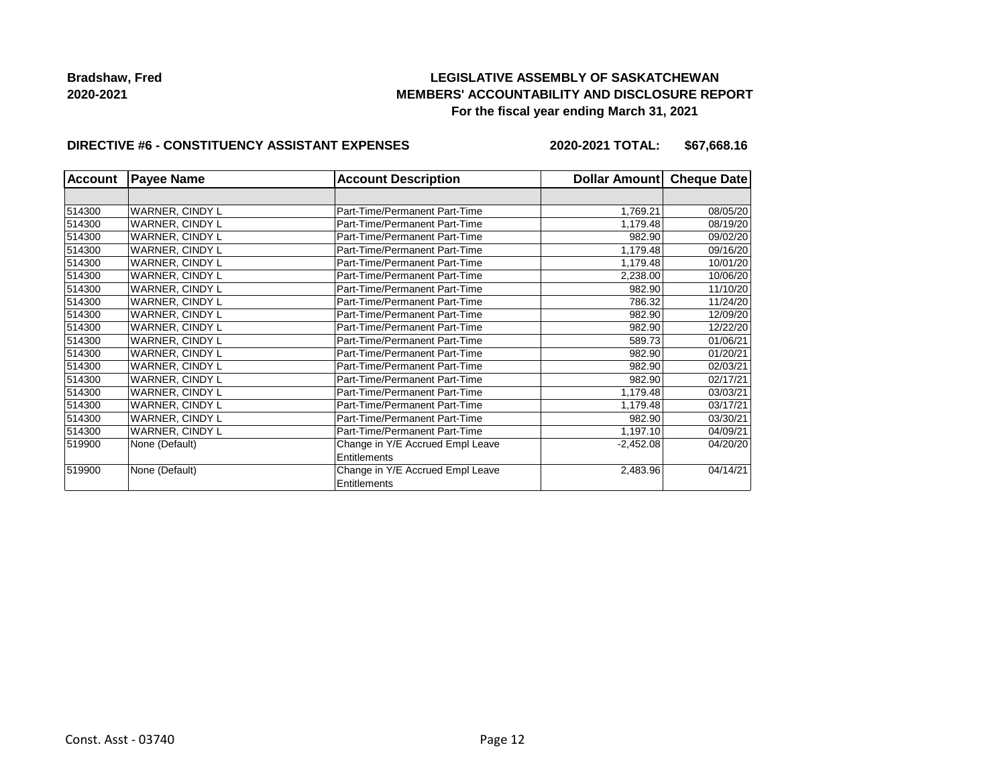## **LEGISLATIVE ASSEMBLY OF SASKATCHEWAN MEMBERS' ACCOUNTABILITY AND DISCLOSURE REPORT For the fiscal year ending March 31, 2021**

#### **DIRECTIVE #6 - CONSTITUENCY ASSISTANT EXPENSES**

**2020-2021 TOTAL: \$67,668.16**

| <b>Account</b><br><b>Payee Name</b> |                        | <b>Account Description</b>                       | Dollar Amount | <b>Cheque Date</b> |
|-------------------------------------|------------------------|--------------------------------------------------|---------------|--------------------|
|                                     |                        |                                                  |               |                    |
| 514300                              | <b>WARNER, CINDY L</b> | Part-Time/Permanent Part-Time                    | 1,769.21      | 08/05/20           |
| 514300                              | WARNER, CINDY L        | Part-Time/Permanent Part-Time                    | 1,179.48      | 08/19/20           |
| 514300                              | <b>WARNER, CINDY L</b> | Part-Time/Permanent Part-Time                    | 982.90        | 09/02/20           |
| 514300                              | WARNER, CINDY L        | Part-Time/Permanent Part-Time                    | 1,179.48      | 09/16/20           |
| 514300                              | <b>WARNER, CINDY L</b> | Part-Time/Permanent Part-Time                    | 1,179.48      | 10/01/20           |
| 514300                              | WARNER, CINDY L        | Part-Time/Permanent Part-Time                    | 2,238.00      | 10/06/20           |
| 514300                              | <b>WARNER, CINDY L</b> | Part-Time/Permanent Part-Time                    | 982.90        | 11/10/20           |
| 514300                              | WARNER, CINDY L        | Part-Time/Permanent Part-Time                    | 786.32        | 11/24/20           |
| 514300                              | WARNER, CINDY L        | Part-Time/Permanent Part-Time                    | 982.90        | 12/09/20           |
| 514300                              | WARNER, CINDY L        | Part-Time/Permanent Part-Time                    | 982.90        | 12/22/20           |
| 514300                              | WARNER, CINDY L        | Part-Time/Permanent Part-Time                    | 589.73        | 01/06/21           |
| 514300                              | WARNER, CINDY L        | Part-Time/Permanent Part-Time                    | 982.90        | 01/20/21           |
| 514300                              | WARNER, CINDY L        | Part-Time/Permanent Part-Time                    | 982.90        | 02/03/21           |
| 514300                              | WARNER, CINDY L        | Part-Time/Permanent Part-Time                    | 982.90        | 02/17/21           |
| 514300                              | WARNER, CINDY L        | Part-Time/Permanent Part-Time                    | 1,179.48      | 03/03/21           |
| 514300                              | WARNER, CINDY L        | Part-Time/Permanent Part-Time                    | 1,179.48      | 03/17/21           |
| 514300                              | WARNER, CINDY L        | Part-Time/Permanent Part-Time                    | 982.90        | 03/30/21           |
| 514300                              | WARNER, CINDY L        | Part-Time/Permanent Part-Time                    | 1,197.10      | 04/09/21           |
| 519900                              | None (Default)         | Change in Y/E Accrued Empl Leave                 | $-2,452.08$   | 04/20/20           |
|                                     |                        | Entitlements                                     |               |                    |
| 519900                              | None (Default)         | Change in Y/E Accrued Empl Leave<br>Entitlements | 2,483.96      | 04/14/21           |